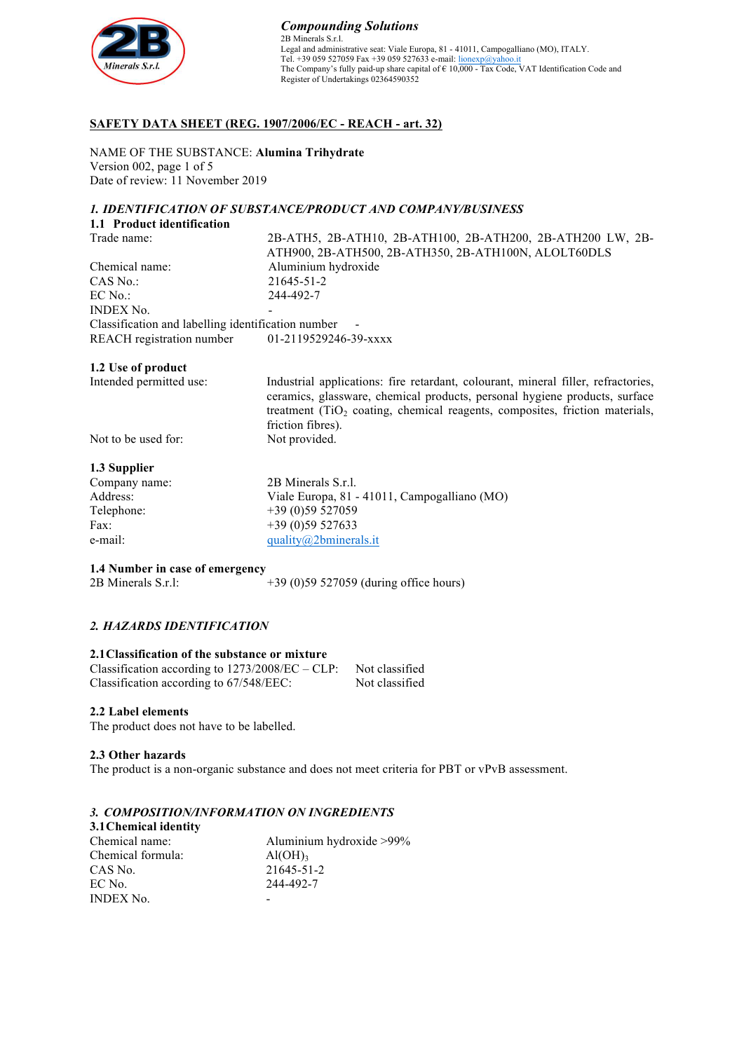

## **SAFETY DATA SHEET (REG. 1907/2006/EC - REACH - art. 32)**

NAME OF THE SUBSTANCE: **Alumina Trihydrate** Version 002, page 1 of 5 Date of review: 11 November 2019

### *1. IDENTIFICATION OF SUBSTANCE/PRODUCT AND COMPANY/BUSINESS*

| 1.1 Product identification                         |                                                            |
|----------------------------------------------------|------------------------------------------------------------|
| Trade name:                                        | 2B-ATH5, 2B-ATH10, 2B-ATH100, 2B-ATH200, 2B-ATH200 LW, 2B- |
|                                                    | ATH900, 2B-ATH500, 2B-ATH350, 2B-ATH100N, ALOLT60DLS       |
| Chemical name:                                     | Aluminium hydroxide                                        |
| $CAS$ No.:                                         | 21645-51-2                                                 |
| $EC$ No.:                                          | 244-492-7                                                  |
| <b>INDEX No.</b>                                   |                                                            |
| Classification and labelling identification number | $\overline{\phantom{a}}$                                   |
| <b>REACH</b> registration number                   | 01-2119529246-39-xxxx                                      |

#### **1.2 Use of product**

Intended permitted use: Industrial applications: fire retardant, colourant, mineral filler, refractories, ceramics, glassware, chemical products, personal hygiene products, surface treatment (TiO<sub>2</sub> coating, chemical reagents, composites, friction materials, friction fibres).

Not to be used for: Not provided.

### **1.3 Supplier**

| Company name: | 2B Minerals S.r.l.                           |
|---------------|----------------------------------------------|
| Address:      | Viale Europa, 81 - 41011, Campogalliano (MO) |
| Telephone:    | $+39(0)59527059$                             |
| Fax:          | $+39(0)59527633$                             |
| e-mail:       | quality@2bminerals.it                        |

**1.4 Number in case of emergency**

2B Minerals S.r.l: +39 (0)59 527059 (during office hours)

### *2. HAZARDS IDENTIFICATION*

#### **2.1Classification of the substance or mixture**

| Classification according to $1273/2008/EC - CLP$ : | Not classified |
|----------------------------------------------------|----------------|
| Classification according to $67/548/EEC$ :         | Not classified |

#### **2.2 Label elements**

The product does not have to be labelled.

#### **2.3 Other hazards**

The product is a non-organic substance and does not meet criteria for PBT or vPvB assessment.

### *3. COMPOSITION/INFORMATION ON INGREDIENTS*

| 3.1 Chemical identity |                          |
|-----------------------|--------------------------|
| Chemical name:        | Aluminium hydroxide >99% |
| Chemical formula:     | $\text{Al}(\text{OH})_3$ |
| CAS No.               | 21645-51-2               |
| EC No.                | 244-492-7                |
| <b>INDEX No.</b>      |                          |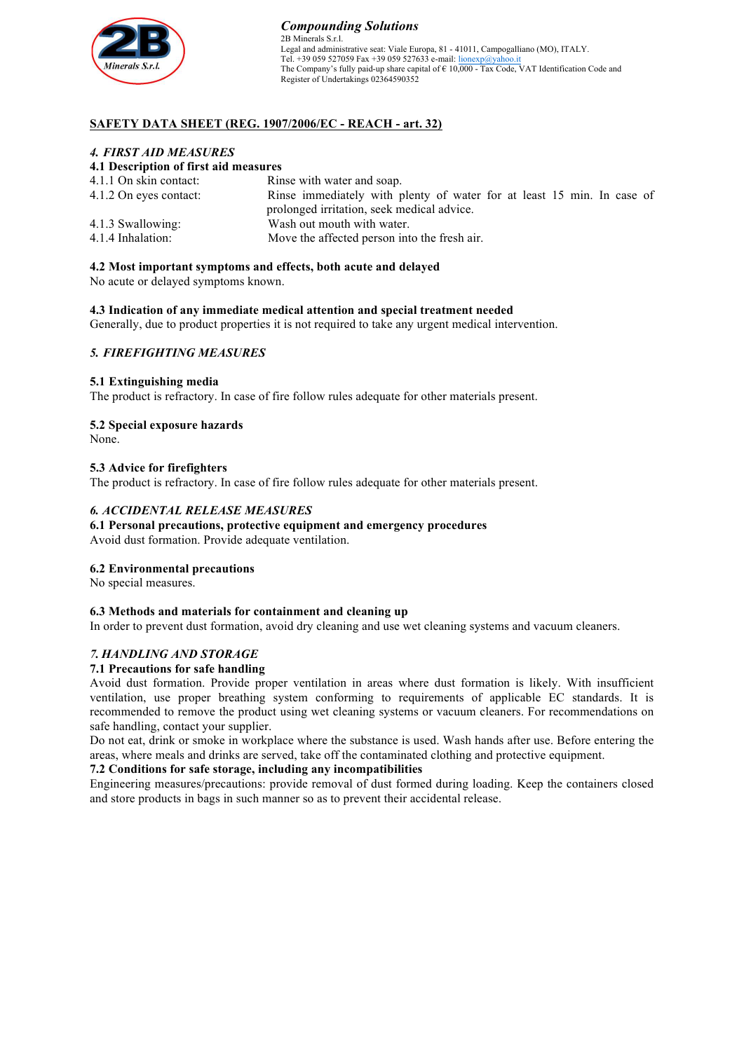

#### *Compounding Solutions* 2B Minerals S.r.l. Legal and administrative seat: Viale Europa, 81 - 41011, Campogalliano (MO), ITALY. Tel. +39 059 527059 Fax +39 059 527633 e-mail: lionexp@yahoo.it The Company's fully paid-up share capital of  $\epsilon$  10,000 - Tax Code, VAT Identification Code and Register of Undertakings 02364590352

## **SAFETY DATA SHEET (REG. 1907/2006/EC - REACH - art. 32)**

### *4. FIRST AID MEASURES*

### **4.1 Description of first aid measures**

| Rinse with water and soap.                                             |
|------------------------------------------------------------------------|
| Rinse immediately with plenty of water for at least 15 min. In case of |
| prolonged irritation, seek medical advice.                             |
| Wash out mouth with water.                                             |
| Move the affected person into the fresh air.                           |
|                                                                        |

### **4.2 Most important symptoms and effects, both acute and delayed**

No acute or delayed symptoms known.

**4.3 Indication of any immediate medical attention and special treatment needed**

Generally, due to product properties it is not required to take any urgent medical intervention.

### *5. FIREFIGHTING MEASURES*

### **5.1 Extinguishing media**

The product is refractory. In case of fire follow rules adequate for other materials present.

### **5.2 Special exposure hazards**

None.

### **5.3 Advice for firefighters**

The product is refractory. In case of fire follow rules adequate for other materials present.

### *6. ACCIDENTAL RELEASE MEASURES*

# **6.1 Personal precautions, protective equipment and emergency procedures**

Avoid dust formation. Provide adequate ventilation.

#### **6.2 Environmental precautions**

No special measures.

#### **6.3 Methods and materials for containment and cleaning up**

In order to prevent dust formation, avoid dry cleaning and use wet cleaning systems and vacuum cleaners.

### *7. HANDLING AND STORAGE*

#### **7.1 Precautions for safe handling**

Avoid dust formation. Provide proper ventilation in areas where dust formation is likely. With insufficient ventilation, use proper breathing system conforming to requirements of applicable EC standards. It is recommended to remove the product using wet cleaning systems or vacuum cleaners. For recommendations on safe handling, contact your supplier.

Do not eat, drink or smoke in workplace where the substance is used. Wash hands after use. Before entering the areas, where meals and drinks are served, take off the contaminated clothing and protective equipment.

#### **7.2 Conditions for safe storage, including any incompatibilities**

Engineering measures/precautions: provide removal of dust formed during loading. Keep the containers closed and store products in bags in such manner so as to prevent their accidental release.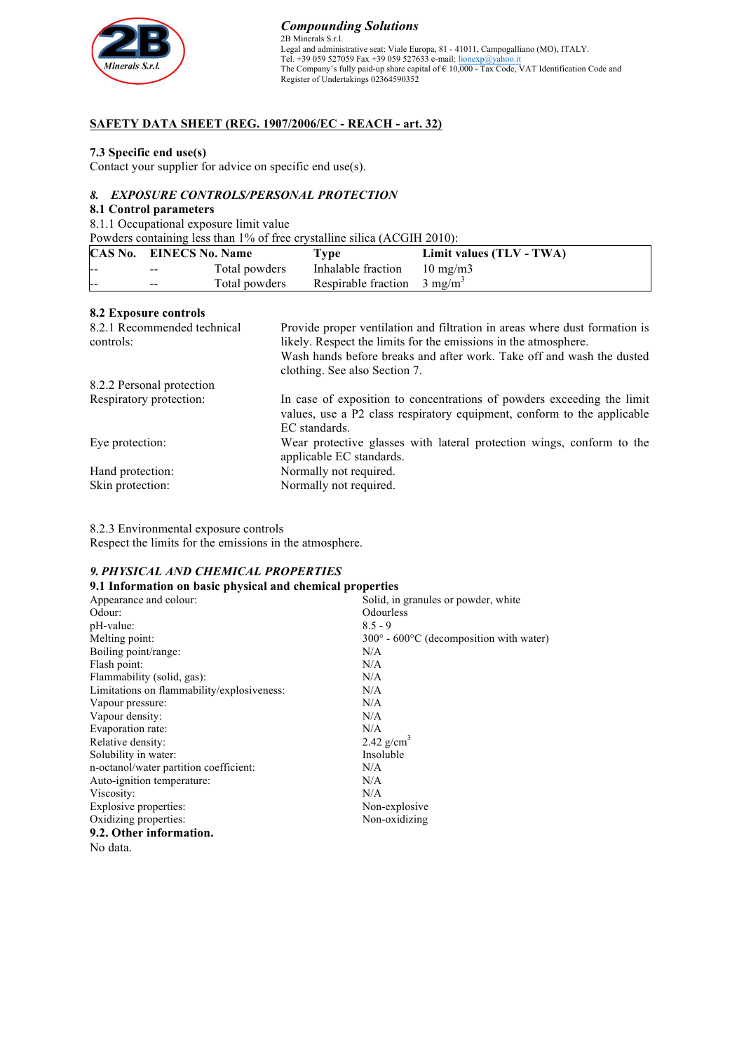

*Compounding Solutions* 2B Minerals S.r.l. Legal and administrative seat: Viale Europa, 81 - 41011, Campogalliano (MO), ITALY.<br>Tel. +39 059 527059 Fax +39 059 527633 e-mail: <u>lionexp@yahoo.it</u> The Company's fully paid-up share capital of € 10,000 - Tax Code, VAT Identification Code and Register of Undertakings 02364590352

### **SAFETY DATA SHEET (REG. 1907/2006/EC - REACH - art. 32)**

### **7.3 Specific end use(s)**

Contact your supplier for advice on specific end use(s).

## *8. EXPOSURE CONTROLS/PERSONAL PROTECTION*

#### **8.1 Control parameters**

8.1.1 Occupational exposure limit value

Powders containing less than 1% of free crystalline silica (ACGIH 2010):

|       | <b>CAS No. EINECS No. Name</b> |               | <b>Type</b>                            | Limit values (TLV - TWA) |
|-------|--------------------------------|---------------|----------------------------------------|--------------------------|
| $- -$ | $\sim$ $\sim$                  | Total powders | Inhalable fraction $10 \text{ mg/m}$ 3 |                          |
|       | $- -$                          | Total powders | Respirable fraction $3 \text{ mg/m}^3$ |                          |

### **8.2 Exposure controls**

| 8.2.1 Recommended technical<br>controls: | Provide proper ventilation and filtration in areas where dust formation is<br>likely. Respect the limits for the emissions in the atmosphere.<br>Wash hands before breaks and after work. Take off and wash the dusted<br>clothing. See also Section 7. |
|------------------------------------------|---------------------------------------------------------------------------------------------------------------------------------------------------------------------------------------------------------------------------------------------------------|
| 8.2.2 Personal protection                |                                                                                                                                                                                                                                                         |
| Respiratory protection:                  | In case of exposition to concentrations of powders exceeding the limit<br>values, use a P2 class respiratory equipment, conform to the applicable<br>EC standards.                                                                                      |
| Eye protection:                          | Wear protective glasses with lateral protection wings, conform to the<br>applicable EC standards.                                                                                                                                                       |
| Hand protection:                         | Normally not required.                                                                                                                                                                                                                                  |
| Skin protection:                         | Normally not required.                                                                                                                                                                                                                                  |

8.2.3 Environmental exposure controls

Respect the limits for the emissions in the atmosphere.

### *9. PHYSICAL AND CHEMICAL PROPERTIES*

| 9.1 Information on basic physical and chemical properties |                                         |
|-----------------------------------------------------------|-----------------------------------------|
| Appearance and colour:                                    | Solid, in granules or powder, white     |
| Odour:                                                    | Odourless                               |
| pH-value:                                                 | $8.5 - 9$                               |
| Melting point:                                            | 300° - 600°C (decomposition with water) |
| Boiling point/range:                                      | N/A                                     |
| Flash point:                                              | N/A                                     |
| Flammability (solid, gas):                                | N/A                                     |
| Limitations on flammability/explosiveness:                | N/A                                     |
| Vapour pressure:                                          | N/A                                     |
| Vapour density:                                           | N/A                                     |
| Evaporation rate:                                         | N/A                                     |
| Relative density:                                         | 2.42 $g/cm^3$                           |
| Solubility in water:                                      | Insoluble                               |
| n-octanol/water partition coefficient:                    | N/A                                     |
| Auto-ignition temperature:                                | N/A                                     |
| Viscosity:                                                | N/A                                     |
| Explosive properties:                                     | Non-explosive                           |
| Oxidizing properties:                                     | Non-oxidizing                           |
| 9.2. Other information.                                   |                                         |
| No data.                                                  |                                         |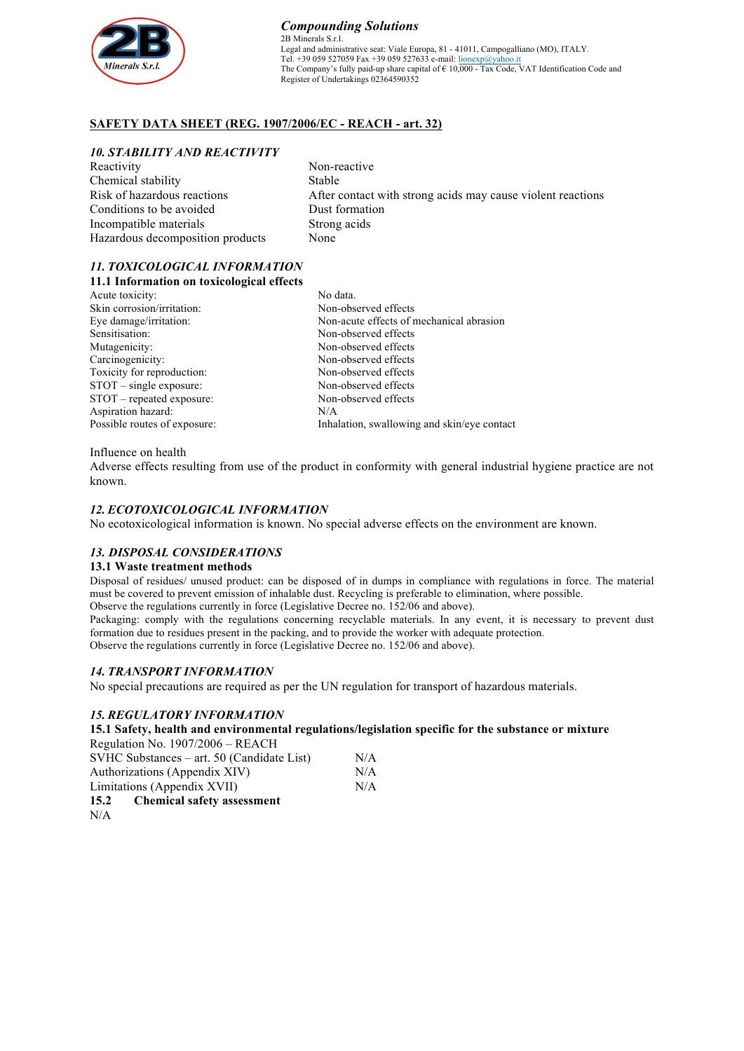

#### *Compounding Solutions* 2B Minerals S.r.l. Legal and administrative seat: Viale Europa, 81 - 41011, Campogalliano (MO), ITALY. Tel. +39 059 527059 Fax +39 059 527633 e-mail: lionexp@yahoo.it The Company's fully paid-up share capital of  $\epsilon$  10,000 - Tax Code, VAT Identification Code and Register of Undertakings 02364590352

## **SAFETY DATA SHEET (REG. 1907/2006/EC - REACH - art. 32)**

### *10. STABILITY AND REACTIVITY*

| Reactivity                       | Non-reactive                                                |
|----------------------------------|-------------------------------------------------------------|
| Chemical stability               | Stable                                                      |
| Risk of hazardous reactions      | After contact with strong acids may cause violent reactions |
| Conditions to be avoided         | Dust formation                                              |
| Incompatible materials           | Strong acids                                                |
| Hazardous decomposition products | None                                                        |

### *11. TOXICOLOGICAL INFORMATION* **11.1 Information on toxicological effects**

No data. Non-observed effects Non-acute effects of mechanical abrasion Non-observed effects Non-observed effects Non-observed effects Non-observed effects Non-observed effects Non-observed effects N/A Inhalation, swallowing and skin/eye contact

#### Influence on health

Adverse effects resulting from use of the product in conformity with general industrial hygiene practice are not known.

### *12. ECOTOXICOLOGICAL INFORMATION*

No ecotoxicological information is known. No special adverse effects on the environment are known.

### *13. DISPOSAL CONSIDERATIONS*

#### **13.1 Waste treatment methods**

Disposal of residues/ unused product: can be disposed of in dumps in compliance with regulations in force. The material must be covered to prevent emission of inhalable dust. Recycling is preferable to elimination, where possible. Observe the regulations currently in force (Legislative Decree no. 152/06 and above).

Packaging: comply with the regulations concerning recyclable materials. In any event, it is necessary to prevent dust formation due to residues present in the packing, and to provide the worker with adequate protection. Observe the regulations currently in force (Legislative Decree no. 152/06 and above).

### *14. TRANSPORT INFORMATION*

No special precautions are required as per the UN regulation for transport of hazardous materials.

### *15. REGULATORY INFORMATION*

**15.1 Safety, health and environmental regulations/legislation specific for the substance or mixture**

| Regulation No. 1907/2006 – REACH           |     |
|--------------------------------------------|-----|
| SVHC Substances – art. 50 (Candidate List) | N/A |
| Authorizations (Appendix XIV)              | N/A |
| Limitations (Appendix XVII)                | N/A |
| <b>Chemical safety assessment</b><br>15.2  |     |
| N/A                                        |     |